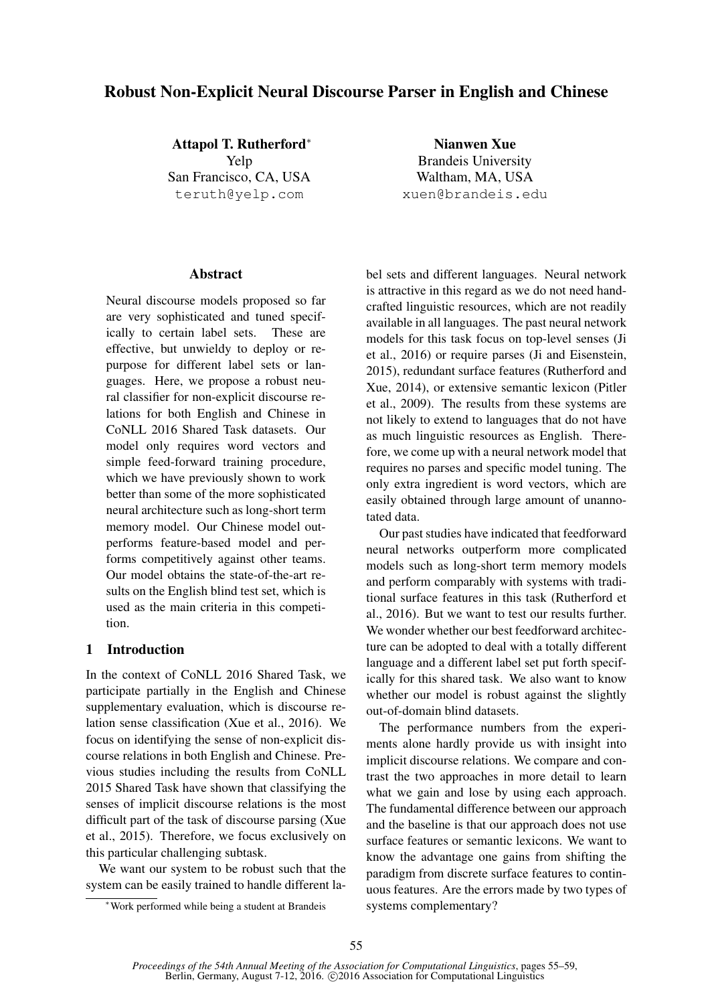# Robust Non-Explicit Neural Discourse Parser in English and Chinese

Attapol T. Rutherford<sup>∗</sup> Yelp San Francisco, CA, USA teruth@yelp.com

Nianwen Xue Brandeis University Waltham, MA, USA xuen@brandeis.edu

## **Abstract**

Neural discourse models proposed so far are very sophisticated and tuned specifically to certain label sets. These are effective, but unwieldy to deploy or repurpose for different label sets or languages. Here, we propose a robust neural classifier for non-explicit discourse relations for both English and Chinese in CoNLL 2016 Shared Task datasets. Our model only requires word vectors and simple feed-forward training procedure, which we have previously shown to work better than some of the more sophisticated neural architecture such as long-short term memory model. Our Chinese model outperforms feature-based model and performs competitively against other teams. Our model obtains the state-of-the-art results on the English blind test set, which is used as the main criteria in this competition.

## 1 Introduction

In the context of CoNLL 2016 Shared Task, we participate partially in the English and Chinese supplementary evaluation, which is discourse relation sense classification (Xue et al., 2016). We focus on identifying the sense of non-explicit discourse relations in both English and Chinese. Previous studies including the results from CoNLL 2015 Shared Task have shown that classifying the senses of implicit discourse relations is the most difficult part of the task of discourse parsing (Xue et al., 2015). Therefore, we focus exclusively on this particular challenging subtask.

We want our system to be robust such that the system can be easily trained to handle different label sets and different languages. Neural network is attractive in this regard as we do not need handcrafted linguistic resources, which are not readily available in all languages. The past neural network models for this task focus on top-level senses (Ji et al., 2016) or require parses (Ji and Eisenstein, 2015), redundant surface features (Rutherford and Xue, 2014), or extensive semantic lexicon (Pitler et al., 2009). The results from these systems are not likely to extend to languages that do not have as much linguistic resources as English. Therefore, we come up with a neural network model that requires no parses and specific model tuning. The only extra ingredient is word vectors, which are easily obtained through large amount of unannotated data.

Our past studies have indicated that feedforward neural networks outperform more complicated models such as long-short term memory models and perform comparably with systems with traditional surface features in this task (Rutherford et al., 2016). But we want to test our results further. We wonder whether our best feedforward architecture can be adopted to deal with a totally different language and a different label set put forth specifically for this shared task. We also want to know whether our model is robust against the slightly out-of-domain blind datasets.

The performance numbers from the experiments alone hardly provide us with insight into implicit discourse relations. We compare and contrast the two approaches in more detail to learn what we gain and lose by using each approach. The fundamental difference between our approach and the baseline is that our approach does not use surface features or semantic lexicons. We want to know the advantage one gains from shifting the paradigm from discrete surface features to continuous features. Are the errors made by two types of systems complementary?

<sup>∗</sup>Work performed while being a student at Brandeis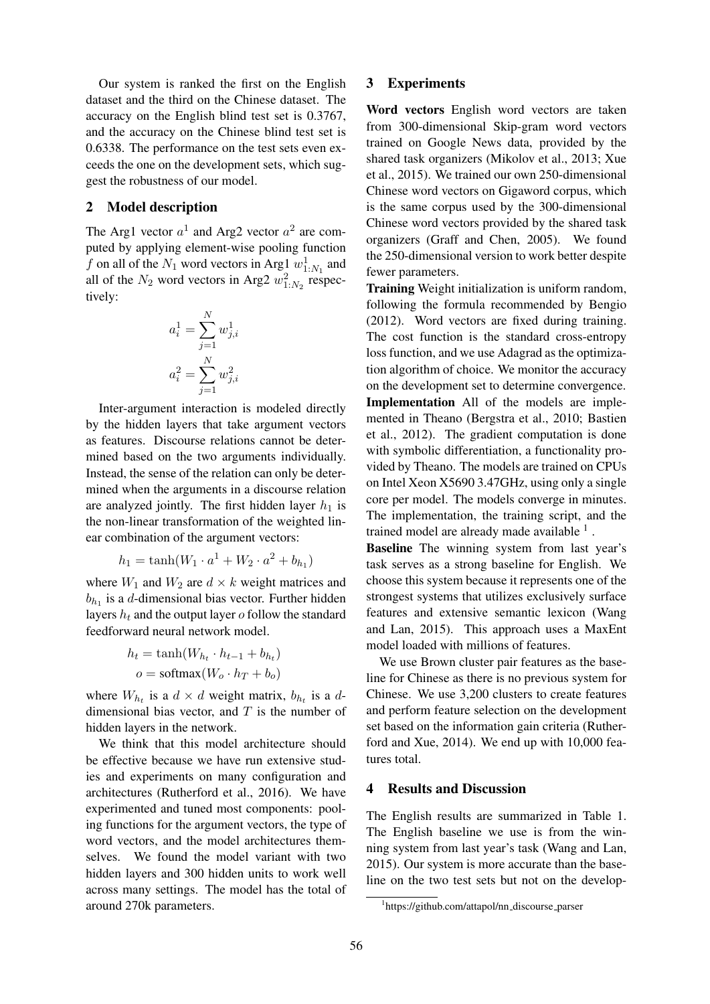Our system is ranked the first on the English dataset and the third on the Chinese dataset. The accuracy on the English blind test set is 0.3767, and the accuracy on the Chinese blind test set is 0.6338. The performance on the test sets even exceeds the one on the development sets, which suggest the robustness of our model.

#### 2 Model description

The Arg1 vector  $a^1$  and Arg2 vector  $a^2$  are computed by applying element-wise pooling function f on all of the  $N_1$  word vectors in Arg $\frac{1}{2} w_{1:N_1}^1$  and all of the  $N_2$  word vectors in Arg2  $w_{1:N_2}^2$  respectively:

$$
a_i^1 = \sum_{j=1}^N w_{j,i}^1
$$

$$
a_i^2 = \sum_{j=1}^N w_{j,i}^2
$$

Inter-argument interaction is modeled directly by the hidden layers that take argument vectors as features. Discourse relations cannot be determined based on the two arguments individually. Instead, the sense of the relation can only be determined when the arguments in a discourse relation are analyzed jointly. The first hidden layer  $h_1$  is the non-linear transformation of the weighted linear combination of the argument vectors:

$$
h_1 = \tanh(W_1 \cdot a^1 + W_2 \cdot a^2 + b_{h_1})
$$

where  $W_1$  and  $W_2$  are  $d \times k$  weight matrices and  $b_{h_1}$  is a d-dimensional bias vector. Further hidden layers  $h_t$  and the output layer  $o$  follow the standard feedforward neural network model.

$$
h_t = \tanh(W_{h_t} \cdot h_{t-1} + b_{h_t})
$$
  

$$
o = \text{softmax}(W_o \cdot h_T + b_o)
$$

where  $W_{h_t}$  is a  $d \times d$  weight matrix,  $b_{h_t}$  is a ddimensional bias vector, and  $T$  is the number of hidden layers in the network.

We think that this model architecture should be effective because we have run extensive studies and experiments on many configuration and architectures (Rutherford et al., 2016). We have experimented and tuned most components: pooling functions for the argument vectors, the type of word vectors, and the model architectures themselves. We found the model variant with two hidden layers and 300 hidden units to work well across many settings. The model has the total of around 270k parameters.

#### 3 Experiments

Word vectors English word vectors are taken from 300-dimensional Skip-gram word vectors trained on Google News data, provided by the shared task organizers (Mikolov et al., 2013; Xue et al., 2015). We trained our own 250-dimensional Chinese word vectors on Gigaword corpus, which is the same corpus used by the 300-dimensional Chinese word vectors provided by the shared task organizers (Graff and Chen, 2005). We found the 250-dimensional version to work better despite fewer parameters.

Training Weight initialization is uniform random, following the formula recommended by Bengio (2012). Word vectors are fixed during training. The cost function is the standard cross-entropy loss function, and we use Adagrad as the optimization algorithm of choice. We monitor the accuracy on the development set to determine convergence. Implementation All of the models are implemented in Theano (Bergstra et al., 2010; Bastien et al., 2012). The gradient computation is done with symbolic differentiation, a functionality provided by Theano. The models are trained on CPUs on Intel Xeon X5690 3.47GHz, using only a single core per model. The models converge in minutes. The implementation, the training script, and the trained model are already made available <sup>1</sup>.

Baseline The winning system from last year's task serves as a strong baseline for English. We choose this system because it represents one of the strongest systems that utilizes exclusively surface features and extensive semantic lexicon (Wang and Lan, 2015). This approach uses a MaxEnt model loaded with millions of features.

We use Brown cluster pair features as the baseline for Chinese as there is no previous system for Chinese. We use 3,200 clusters to create features and perform feature selection on the development set based on the information gain criteria (Rutherford and Xue, 2014). We end up with 10,000 features total.

### 4 Results and Discussion

The English results are summarized in Table 1. The English baseline we use is from the winning system from last year's task (Wang and Lan, 2015). Our system is more accurate than the baseline on the two test sets but not on the develop-

<sup>&</sup>lt;sup>1</sup>https://github.com/attapol/nn\_discourse\_parser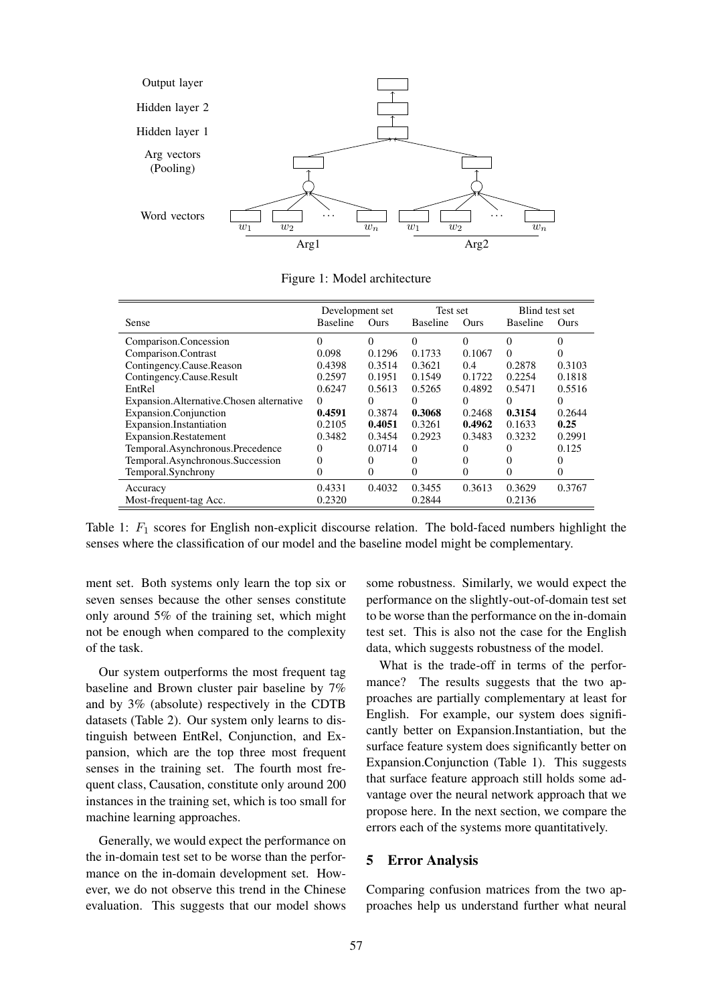

Figure 1: Model architecture

|                                            | Development set |          | Test set        |          | Blind test set  |          |
|--------------------------------------------|-----------------|----------|-----------------|----------|-----------------|----------|
| Sense                                      | <b>Baseline</b> | Ours     | <b>Baseline</b> | Ours     | <b>Baseline</b> | Ours     |
| Comparison.Concession                      | 0               | $\Omega$ | $\Omega$        | $\Omega$ | 0               | 0        |
| Comparison.Contrast                        | 0.098           | 0.1296   | 0.1733          | 0.1067   | $\Omega$        | 0        |
| Contingency.Cause.Reason                   | 0.4398          | 0.3514   | 0.3621          | 0.4      | 0.2878          | 0.3103   |
| Contingency.Cause.Result                   | 0.2597          | 0.1951   | 0.1549          | 0.1722   | 0.2254          | 0.1818   |
| EntRel                                     | 0.6247          | 0.5613   | 0.5265          | 0.4892   | 0.5471          | 0.5516   |
| Expansion. Alternative. Chosen alternative | $\Omega$        | $\Omega$ | $\Omega$        | 0        | $\theta$        | $\theta$ |
| Expansion.Conjunction                      | 0.4591          | 0.3874   | 0.3068          | 0.2468   | 0.3154          | 0.2644   |
| Expansion.Instantiation                    | 0.2105          | 0.4051   | 0.3261          | 0.4962   | 0.1633          | 0.25     |
| <b>Expansion.Restatement</b>               | 0.3482          | 0.3454   | 0.2923          | 0.3483   | 0.3232          | 0.2991   |
| Temporal.Asynchronous.Precedence           | $\theta$        | 0.0714   | $\Omega$        |          |                 | 0.125    |
| Temporal.Asynchronous.Succession           | 0               | $_{0}$   | 0               | 0        |                 |          |
| Temporal.Synchrony                         | $_{0}$          | 0        | 0               | $\Omega$ | $_{0}$          | $_{0}$   |
| Accuracy                                   | 0.4331          | 0.4032   | 0.3455          | 0.3613   | 0.3629          | 0.3767   |
| Most-frequent-tag Acc.                     | 0.2320          |          | 0.2844          |          | 0.2136          |          |

Table 1:  $F_1$  scores for English non-explicit discourse relation. The bold-faced numbers highlight the senses where the classification of our model and the baseline model might be complementary.

ment set. Both systems only learn the top six or seven senses because the other senses constitute only around 5% of the training set, which might not be enough when compared to the complexity of the task.

Our system outperforms the most frequent tag baseline and Brown cluster pair baseline by 7% and by 3% (absolute) respectively in the CDTB datasets (Table 2). Our system only learns to distinguish between EntRel, Conjunction, and Expansion, which are the top three most frequent senses in the training set. The fourth most frequent class, Causation, constitute only around 200 instances in the training set, which is too small for machine learning approaches.

Generally, we would expect the performance on the in-domain test set to be worse than the performance on the in-domain development set. However, we do not observe this trend in the Chinese evaluation. This suggests that our model shows

some robustness. Similarly, we would expect the performance on the slightly-out-of-domain test set to be worse than the performance on the in-domain test set. This is also not the case for the English data, which suggests robustness of the model.

What is the trade-off in terms of the performance? The results suggests that the two approaches are partially complementary at least for English. For example, our system does significantly better on Expansion.Instantiation, but the surface feature system does significantly better on Expansion.Conjunction (Table 1). This suggests that surface feature approach still holds some advantage over the neural network approach that we propose here. In the next section, we compare the errors each of the systems more quantitatively.

### 5 Error Analysis

Comparing confusion matrices from the two approaches help us understand further what neural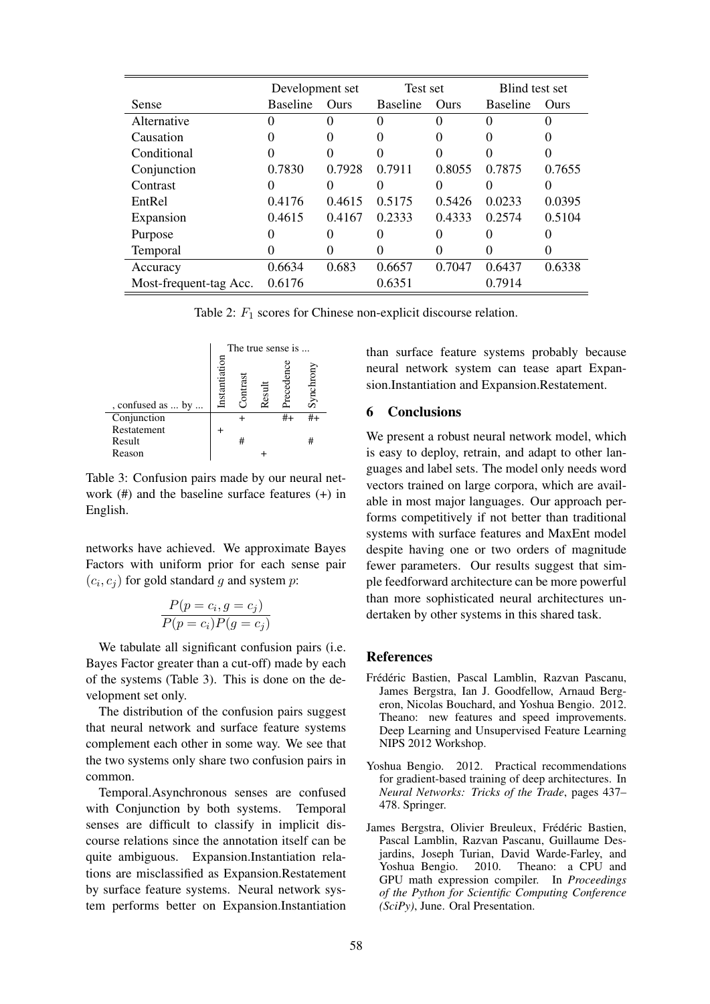|                        | Development set   |        | Test set        |                   | Blind test set  |        |
|------------------------|-------------------|--------|-----------------|-------------------|-----------------|--------|
| <b>Sense</b>           | <b>Baseline</b>   | Ours   | <b>Baseline</b> | Ours              | <b>Baseline</b> | Ours   |
| Alternative            |                   |        |                 |                   |                 |        |
| Causation              |                   |        |                 | 0                 |                 |        |
| Conditional            | 0                 |        |                 |                   |                 |        |
| Conjunction            | 0.7830            | 0.7928 | 0.7911          | 0.8055            | 0.7875          | 0.7655 |
| Contrast               |                   |        |                 |                   |                 |        |
| EntRel                 | 0.4176            | 0.4615 | 0.5175          | 0.5426            | 0.0233          | 0.0395 |
| Expansion              | 0.4615            | 0.4167 | 0.2333          | 0.4333            | 0.2574          | 0.5104 |
| Purpose                | $\mathbf{\Omega}$ |        |                 | $\mathbf{\Omega}$ |                 |        |
| <b>Temporal</b>        |                   |        |                 | 0                 | 0               |        |
| Accuracy               | 0.6634            | 0.683  | 0.6657          | 0.7047            | 0.6437          | 0.6338 |
| Most-frequent-tag Acc. | 0.6176            |        | 0.6351          |                   | 0.7914          |        |

Table 2:  $F_1$  scores for Chinese non-explicit discourse relation.



Table 3: Confusion pairs made by our neural network (#) and the baseline surface features (+) in English.

networks have achieved. We approximate Bayes Factors with uniform prior for each sense pair  $(c_i, c_j)$  for gold standard g and system p:

$$
\frac{P(p = c_i, g = c_j)}{P(p = c_i)P(g = c_j)}
$$

We tabulate all significant confusion pairs (i.e. Bayes Factor greater than a cut-off) made by each of the systems (Table 3). This is done on the development set only.

The distribution of the confusion pairs suggest that neural network and surface feature systems complement each other in some way. We see that the two systems only share two confusion pairs in common.

Temporal.Asynchronous senses are confused with Conjunction by both systems. Temporal senses are difficult to classify in implicit discourse relations since the annotation itself can be quite ambiguous. Expansion.Instantiation relations are misclassified as Expansion.Restatement by surface feature systems. Neural network system performs better on Expansion.Instantiation than surface feature systems probably because neural network system can tease apart Expansion.Instantiation and Expansion.Restatement.

## 6 Conclusions

We present a robust neural network model, which is easy to deploy, retrain, and adapt to other languages and label sets. The model only needs word vectors trained on large corpora, which are available in most major languages. Our approach performs competitively if not better than traditional systems with surface features and MaxEnt model despite having one or two orders of magnitude fewer parameters. Our results suggest that simple feedforward architecture can be more powerful than more sophisticated neural architectures undertaken by other systems in this shared task.

#### References

- Frédéric Bastien, Pascal Lamblin, Razvan Pascanu, James Bergstra, Ian J. Goodfellow, Arnaud Bergeron, Nicolas Bouchard, and Yoshua Bengio. 2012. Theano: new features and speed improvements. Deep Learning and Unsupervised Feature Learning NIPS 2012 Workshop.
- Yoshua Bengio. 2012. Practical recommendations for gradient-based training of deep architectures. In *Neural Networks: Tricks of the Trade*, pages 437– 478. Springer.
- James Bergstra, Olivier Breuleux, Frédéric Bastien, Pascal Lamblin, Razvan Pascanu, Guillaume Desjardins, Joseph Turian, David Warde-Farley, and Yoshua Bengio. 2010. Theano: a CPU and GPU math expression compiler. In *Proceedings of the Python for Scientific Computing Conference (SciPy)*, June. Oral Presentation.